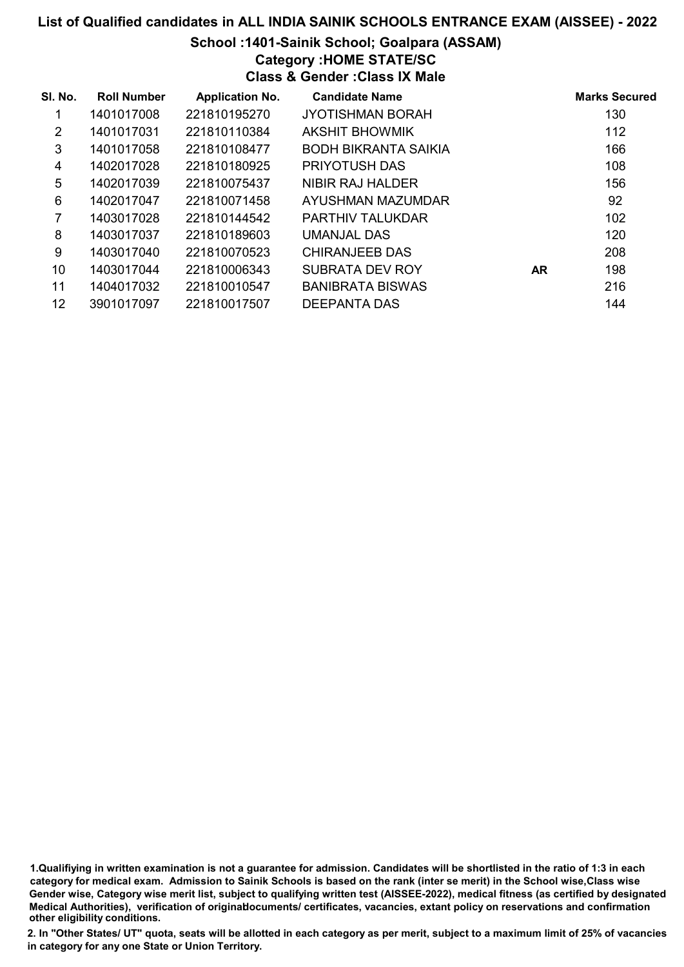#### School :1401-Sainik School; Goalpara (ASSAM)

# Category :HOME STATE/SC

Class & Gender :Class IX Male

| SI. No. | <b>Roll Number</b> | <b>Application No.</b> | <b>Candidate Name</b>       |           | <b>Marks Secured</b> |
|---------|--------------------|------------------------|-----------------------------|-----------|----------------------|
| 1       | 1401017008         | 221810195270           | <b>JYOTISHMAN BORAH</b>     |           | 130                  |
| 2       | 1401017031         | 221810110384           | <b>AKSHIT BHOWMIK</b>       |           | 112                  |
| 3       | 1401017058         | 221810108477           | <b>BODH BIKRANTA SAIKIA</b> |           | 166                  |
| 4       | 1402017028         | 221810180925           | PRIYOTUSH DAS               |           | 108                  |
| 5       | 1402017039         | 221810075437           | NIBIR RAJ HALDER            |           | 156                  |
| 6       | 1402017047         | 221810071458           | AYUSHMAN MAZUMDAR           |           | 92                   |
| 7       | 1403017028         | 221810144542           | <b>PARTHIV TALUKDAR</b>     |           | 102                  |
| 8       | 1403017037         | 221810189603           | UMANJAL DAS                 |           | 120                  |
| 9       | 1403017040         | 221810070523           | <b>CHIRANJEEB DAS</b>       |           | 208                  |
| 10      | 1403017044         | 221810006343           | SUBRATA DEV ROY             | <b>AR</b> | 198                  |
| 11      | 1404017032         | 221810010547           | <b>BANIBRATA BISWAS</b>     |           | 216                  |
| 12      | 3901017097         | 221810017507           | DEEPANTA DAS                |           | 144                  |

1.Qualifiying in written examination is not a guarantee for admission. Candidates will be shortlisted in the ratio of 1:3 in each category for medical exam. Admission to Sainik Schools is based on the rank (inter se merit) in the School wise,Class wise Gender wise, Category wise merit list, subject to qualifying written test (AISSEE-2022), medical fitness (as certified by designated Medical Authorities), verification of originablocuments/ certificates, vacancies, extant policy on reservations and confirmation other eligibility conditions.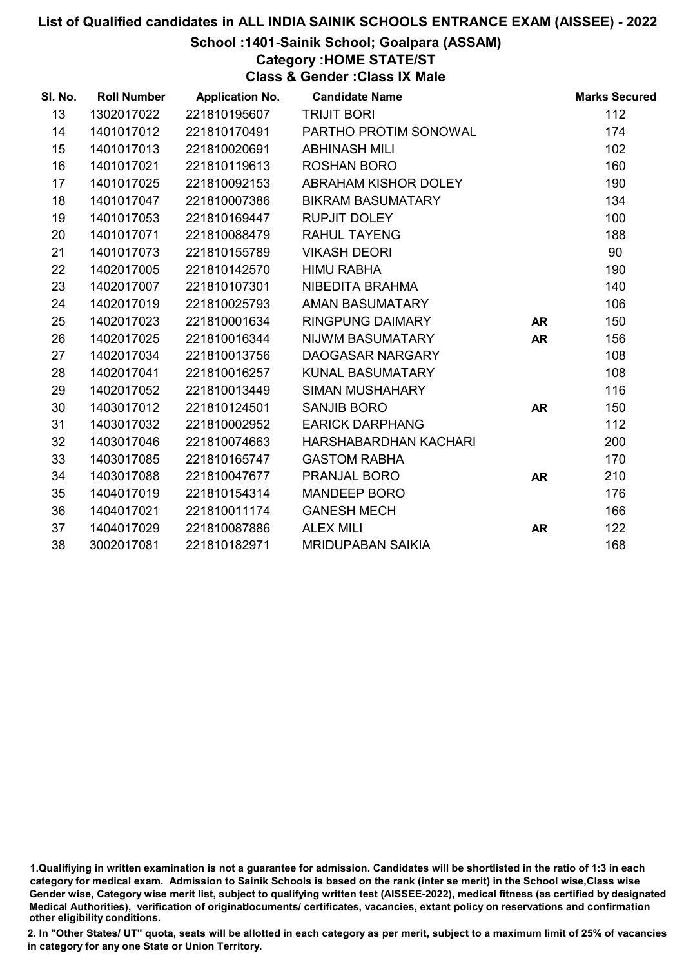#### School :1401-Sainik School; Goalpara (ASSAM)

Category :HOME STATE/ST

Class & Gender :Class IX Male

| SI. No. | <b>Roll Number</b> | <b>Application No.</b> | <b>Candidate Name</b>    |           | <b>Marks Secured</b> |
|---------|--------------------|------------------------|--------------------------|-----------|----------------------|
| 13      | 1302017022         | 221810195607           | <b>TRIJIT BORI</b>       |           | 112                  |
| 14      | 1401017012         | 221810170491           | PARTHO PROTIM SONOWAL    |           | 174                  |
| 15      | 1401017013         | 221810020691           | <b>ABHINASH MILI</b>     |           | 102                  |
| 16      | 1401017021         | 221810119613           | <b>ROSHAN BORO</b>       |           | 160                  |
| 17      | 1401017025         | 221810092153           | ABRAHAM KISHOR DOLEY     |           | 190                  |
| 18      | 1401017047         | 221810007386           | <b>BIKRAM BASUMATARY</b> |           | 134                  |
| 19      | 1401017053         | 221810169447           | <b>RUPJIT DOLEY</b>      |           | 100                  |
| 20      | 1401017071         | 221810088479           | <b>RAHUL TAYENG</b>      |           | 188                  |
| 21      | 1401017073         | 221810155789           | <b>VIKASH DEORI</b>      |           | 90                   |
| 22      | 1402017005         | 221810142570           | <b>HIMU RABHA</b>        |           | 190                  |
| 23      | 1402017007         | 221810107301           | NIBEDITA BRAHMA          |           | 140                  |
| 24      | 1402017019         | 221810025793           | AMAN BASUMATARY          |           | 106                  |
| 25      | 1402017023         | 221810001634           | <b>RINGPUNG DAIMARY</b>  | <b>AR</b> | 150                  |
| 26      | 1402017025         | 221810016344           | NIJWM BASUMATARY         | <b>AR</b> | 156                  |
| 27      | 1402017034         | 221810013756           | DAOGASAR NARGARY         |           | 108                  |
| 28      | 1402017041         | 221810016257           | KUNAL BASUMATARY         |           | 108                  |
| 29      | 1402017052         | 221810013449           | SIMAN MUSHAHARY          |           | 116                  |
| 30      | 1403017012         | 221810124501           | <b>SANJIB BORO</b>       | <b>AR</b> | 150                  |
| 31      | 1403017032         | 221810002952           | <b>EARICK DARPHANG</b>   |           | 112                  |
| 32      | 1403017046         | 221810074663           | HARSHABARDHAN KACHARI    |           | 200                  |
| 33      | 1403017085         | 221810165747           | <b>GASTOM RABHA</b>      |           | 170                  |
| 34      | 1403017088         | 221810047677           | PRANJAL BORO             | <b>AR</b> | 210                  |
| 35      | 1404017019         | 221810154314           | <b>MANDEEP BORO</b>      |           | 176                  |
| 36      | 1404017021         | 221810011174           | <b>GANESH MECH</b>       |           | 166                  |
| 37      | 1404017029         | 221810087886           | <b>ALEX MILI</b>         | <b>AR</b> | 122                  |
| 38      | 3002017081         | 221810182971           | <b>MRIDUPABAN SAIKIA</b> |           | 168                  |

1.Qualifiying in written examination is not a guarantee for admission. Candidates will be shortlisted in the ratio of 1:3 in each category for medical exam. Admission to Sainik Schools is based on the rank (inter se merit) in the School wise,Class wise Gender wise, Category wise merit list, subject to qualifying written test (AISSEE-2022), medical fitness (as certified by designated Medical Authorities), verification of originablocuments/ certificates, vacancies, extant policy on reservations and confirmation other eligibility conditions.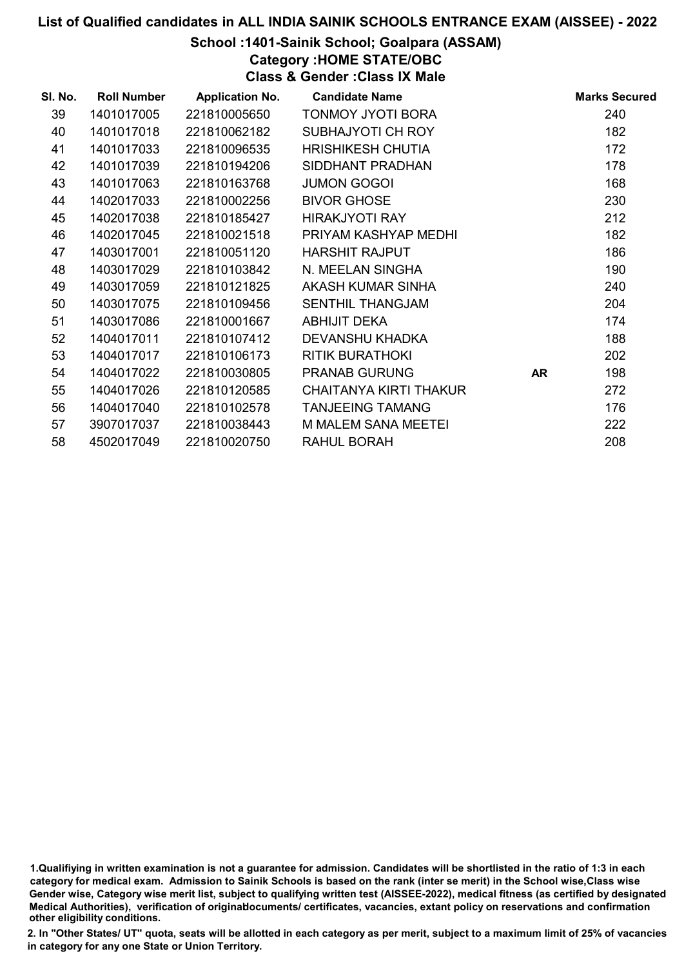# School :1401-Sainik School; Goalpara (ASSAM)

Category :HOME STATE/OBC

Class & Gender :Class IX Male

| SI. No. | <b>Roll Number</b> | <b>Application No.</b> | <b>Candidate Name</b>         |           | <b>Marks Secured</b> |
|---------|--------------------|------------------------|-------------------------------|-----------|----------------------|
| 39      | 1401017005         | 221810005650           | <b>TONMOY JYOTI BORA</b>      |           | 240                  |
| 40      | 1401017018         | 221810062182           | SUBHAJYOTI CH ROY             |           | 182                  |
| 41      | 1401017033         | 221810096535           | <b>HRISHIKESH CHUTIA</b>      |           | 172                  |
| 42      | 1401017039         | 221810194206           | SIDDHANT PRADHAN              |           | 178                  |
| 43      | 1401017063         | 221810163768           | <b>JUMON GOGOI</b>            |           | 168                  |
| 44      | 1402017033         | 221810002256           | <b>BIVOR GHOSE</b>            |           | 230                  |
| 45      | 1402017038         | 221810185427           | <b>HIRAKJYOTI RAY</b>         |           | 212                  |
| 46      | 1402017045         | 221810021518           | PRIYAM KASHYAP MEDHI          |           | 182                  |
| 47      | 1403017001         | 221810051120           | <b>HARSHIT RAJPUT</b>         |           | 186                  |
| 48      | 1403017029         | 221810103842           | N. MEELAN SINGHA              |           | 190                  |
| 49      | 1403017059         | 221810121825           | AKASH KUMAR SINHA             |           | 240                  |
| 50      | 1403017075         | 221810109456           | <b>SENTHIL THANGJAM</b>       |           | 204                  |
| 51      | 1403017086         | 221810001667           | <b>ABHIJIT DEKA</b>           |           | 174                  |
| 52      | 1404017011         | 221810107412           | DEVANSHU KHADKA               |           | 188                  |
| 53      | 1404017017         | 221810106173           | <b>RITIK BURATHOKI</b>        |           | 202                  |
| 54      | 1404017022         | 221810030805           | <b>PRANAB GURUNG</b>          | <b>AR</b> | 198                  |
| 55      | 1404017026         | 221810120585           | <b>CHAITANYA KIRTI THAKUR</b> |           | 272                  |
| 56      | 1404017040         | 221810102578           | <b>TANJEEING TAMANG</b>       |           | 176                  |
| 57      | 3907017037         | 221810038443           | <b>M MALEM SANA MEETEI</b>    |           | 222                  |
| 58      | 4502017049         | 221810020750           | RAHUL BORAH                   |           | 208                  |

1.Qualifiying in written examination is not a guarantee for admission. Candidates will be shortlisted in the ratio of 1:3 in each category for medical exam. Admission to Sainik Schools is based on the rank (inter se merit) in the School wise,Class wise Gender wise, Category wise merit list, subject to qualifying written test (AISSEE-2022), medical fitness (as certified by designated Medical Authorities), verification of originablocuments/ certificates, vacancies, extant policy on reservations and confirmation other eligibility conditions.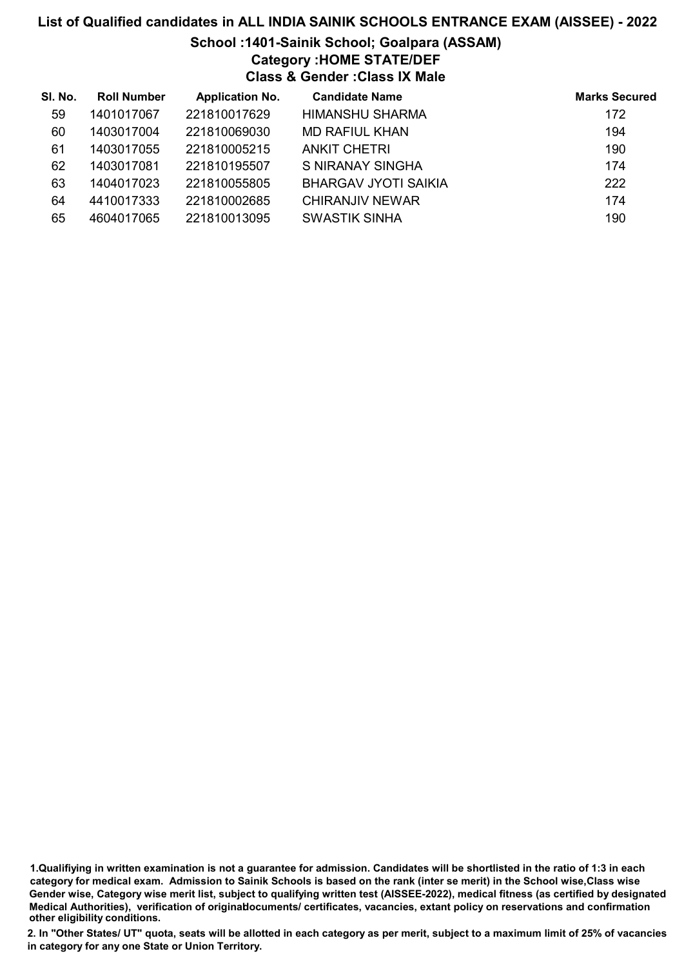# School :1401-Sainik School; Goalpara (ASSAM)

# Category :HOME STATE/DEF

Class & Gender :Class IX Male

| SI. No. | <b>Roll Number</b> | <b>Application No.</b> | <b>Candidate Name</b>       | <b>Marks Secured</b> |
|---------|--------------------|------------------------|-----------------------------|----------------------|
| 59      | 1401017067         | 221810017629           | <b>HIMANSHU SHARMA</b>      | 172                  |
| 60      | 1403017004         | 221810069030           | MD RAFIUL KHAN              | 194                  |
| 61      | 1403017055         | 221810005215           | <b>ANKIT CHETRI</b>         | 190                  |
| 62      | 1403017081         | 221810195507           | S NIRANAY SINGHA            | 174                  |
| 63      | 1404017023         | 221810055805           | <b>BHARGAV JYOTI SAIKIA</b> | 222                  |
| 64      | 4410017333         | 221810002685           | <b>CHIRANJIV NEWAR</b>      | 174                  |
| 65      | 4604017065         | 221810013095           | <b>SWASTIK SINHA</b>        | 190                  |

<sup>1.</sup>Qualifiying in written examination is not a guarantee for admission. Candidates will be shortlisted in the ratio of 1:3 in each category for medical exam. Admission to Sainik Schools is based on the rank (inter se merit) in the School wise,Class wise Gender wise, Category wise merit list, subject to qualifying written test (AISSEE-2022), medical fitness (as certified by designated Medical Authorities), verification of originablocuments/ certificates, vacancies, extant policy on reservations and confirmation other eligibility conditions.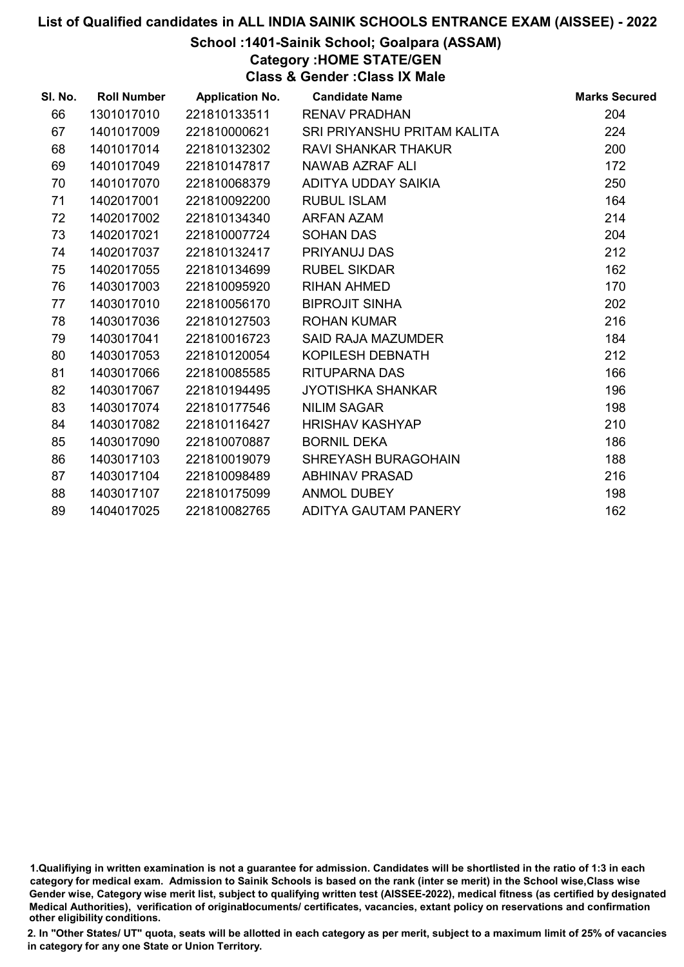# School :1401-Sainik School; Goalpara (ASSAM)

Category :HOME STATE/GEN

Class & Gender :Class IX Male

| SI. No. | <b>Roll Number</b> | <b>Application No.</b> | <b>Candidate Name</b>       | <b>Marks Secured</b> |
|---------|--------------------|------------------------|-----------------------------|----------------------|
| 66      | 1301017010         | 221810133511           | <b>RENAV PRADHAN</b>        | 204                  |
| 67      | 1401017009         | 221810000621           | SRI PRIYANSHU PRITAM KALITA | 224                  |
| 68      | 1401017014         | 221810132302           | <b>RAVI SHANKAR THAKUR</b>  | 200                  |
| 69      | 1401017049         | 221810147817           | NAWAB AZRAF ALI             | 172                  |
| 70      | 1401017070         | 221810068379           | ADITYA UDDAY SAIKIA         | 250                  |
| 71      | 1402017001         | 221810092200           | <b>RUBUL ISLAM</b>          | 164                  |
| 72      | 1402017002         | 221810134340           | <b>ARFAN AZAM</b>           | 214                  |
| 73      | 1402017021         | 221810007724           | <b>SOHAN DAS</b>            | 204                  |
| 74      | 1402017037         | 221810132417           | PRIYANUJ DAS                | 212                  |
| 75      | 1402017055         | 221810134699           | <b>RUBEL SIKDAR</b>         | 162                  |
| 76      | 1403017003         | 221810095920           | <b>RIHAN AHMED</b>          | 170                  |
| 77      | 1403017010         | 221810056170           | <b>BIPROJIT SINHA</b>       | 202                  |
| 78      | 1403017036         | 221810127503           | <b>ROHAN KUMAR</b>          | 216                  |
| 79      | 1403017041         | 221810016723           | <b>SAID RAJA MAZUMDER</b>   | 184                  |
| 80      | 1403017053         | 221810120054           | KOPILESH DEBNATH            | 212                  |
| 81      | 1403017066         | 221810085585           | <b>RITUPARNA DAS</b>        | 166                  |
| 82      | 1403017067         | 221810194495           | <b>JYOTISHKA SHANKAR</b>    | 196                  |
| 83      | 1403017074         | 221810177546           | <b>NILIM SAGAR</b>          | 198                  |
| 84      | 1403017082         | 221810116427           | <b>HRISHAV KASHYAP</b>      | 210                  |
| 85      | 1403017090         | 221810070887           | <b>BORNIL DEKA</b>          | 186                  |
| 86      | 1403017103         | 221810019079           | <b>SHREYASH BURAGOHAIN</b>  | 188                  |
| 87      | 1403017104         | 221810098489           | <b>ABHINAV PRASAD</b>       | 216                  |
| 88      | 1403017107         | 221810175099           | <b>ANMOL DUBEY</b>          | 198                  |
| 89      | 1404017025         | 221810082765           | ADITYA GAUTAM PANERY        | 162                  |

<sup>1.</sup>Qualifiying in written examination is not a guarantee for admission. Candidates will be shortlisted in the ratio of 1:3 in each category for medical exam. Admission to Sainik Schools is based on the rank (inter se merit) in the School wise,Class wise Gender wise, Category wise merit list, subject to qualifying written test (AISSEE-2022), medical fitness (as certified by designated Medical Authorities), verification of originablocuments/ certificates, vacancies, extant policy on reservations and confirmation other eligibility conditions.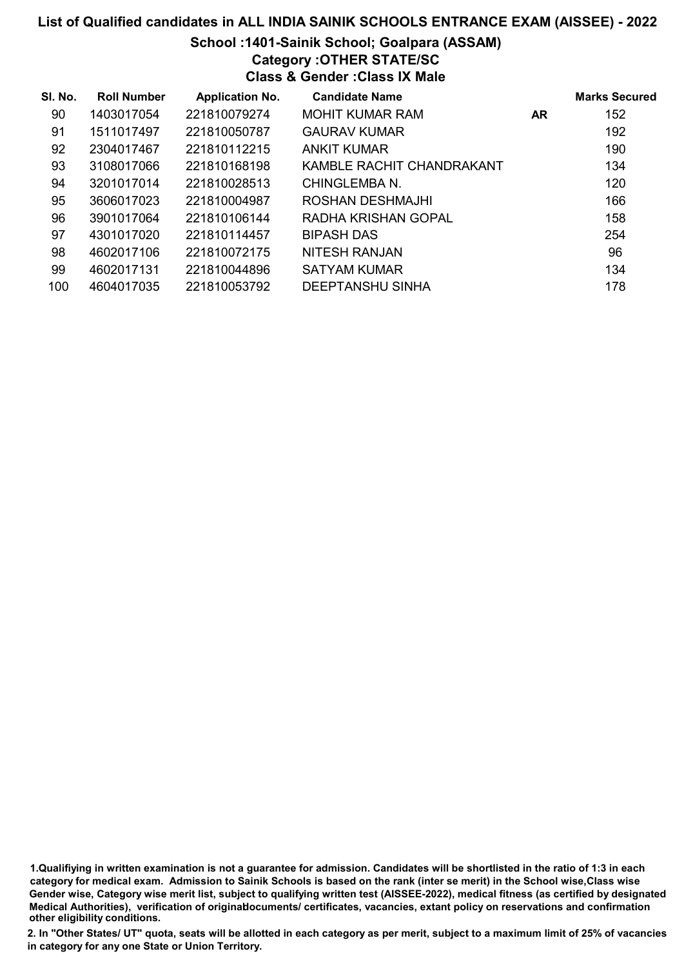# School :1401-Sainik School; Goalpara (ASSAM)

Category :OTHER STATE/SC

Class & Gender :Class IX Male

| SI. No. | <b>Roll Number</b> | <b>Application No.</b> | <b>Candidate Name</b>     |     | <b>Marks Secured</b> |
|---------|--------------------|------------------------|---------------------------|-----|----------------------|
| 90      | 1403017054         | 221810079274           | <b>MOHIT KUMAR RAM</b>    | AR. | 152                  |
| 91      | 1511017497         | 221810050787           | <b>GAURAV KUMAR</b>       |     | 192                  |
| 92      | 2304017467         | 221810112215           | <b>ANKIT KUMAR</b>        |     | 190                  |
| 93      | 3108017066         | 221810168198           | KAMBLE RACHIT CHANDRAKANT |     | 134                  |
| 94      | 3201017014         | 221810028513           | CHINGLEMBA N.             |     | 120                  |
| 95      | 3606017023         | 221810004987           | ROSHAN DESHMAJHI          |     | 166                  |
| 96      | 3901017064         | 221810106144           | RADHA KRISHAN GOPAL       |     | 158                  |
| 97      | 4301017020         | 221810114457           | <b>BIPASH DAS</b>         |     | 254                  |
| 98      | 4602017106         | 221810072175           | <b>NITESH RANJAN</b>      |     | 96                   |
| 99      | 4602017131         | 221810044896           | SATYAM KUMAR              |     | 134                  |
| 100     | 4604017035         | 221810053792           | <b>DEEPTANSHU SINHA</b>   |     | 178                  |

1.Qualifiying in written examination is not a guarantee for admission. Candidates will be shortlisted in the ratio of 1:3 in each category for medical exam. Admission to Sainik Schools is based on the rank (inter se merit) in the School wise,Class wise Gender wise, Category wise merit list, subject to qualifying written test (AISSEE-2022), medical fitness (as certified by designated Medical Authorities), verification of originablocuments/ certificates, vacancies, extant policy on reservations and confirmation other eligibility conditions.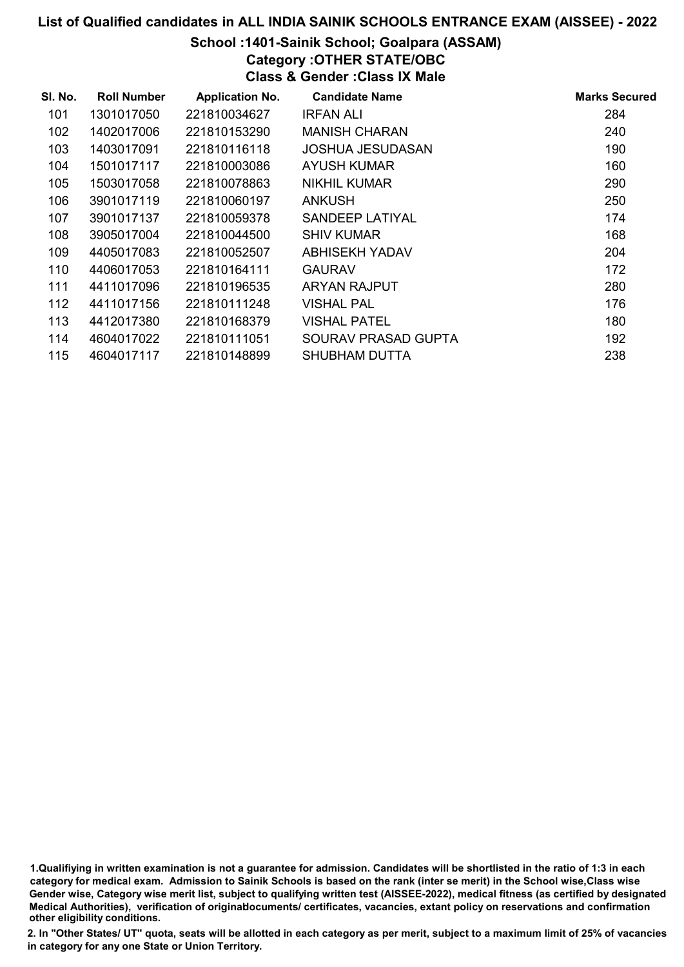# School :1401-Sainik School; Goalpara (ASSAM)

Category :OTHER STATE/OBC

Class & Gender :Class IX Male

| SI. No. | <b>Roll Number</b> | <b>Application No.</b> | <b>Candidate Name</b> | <b>Marks Secured</b> |
|---------|--------------------|------------------------|-----------------------|----------------------|
| 101     | 1301017050         | 221810034627           | IRFAN ALI             | 284                  |
| 102     | 1402017006         | 221810153290           | <b>MANISH CHARAN</b>  | 240                  |
| 103     | 1403017091         | 221810116118           | JOSHUA JESUDASAN      | 190                  |
| 104     | 1501017117         | 221810003086           | <b>AYUSH KUMAR</b>    | 160                  |
| 105     | 1503017058         | 221810078863           | NIKHIL KUMAR          | 290                  |
| 106     | 3901017119         | 221810060197           | <b>ANKUSH</b>         | 250                  |
| 107     | 3901017137         | 221810059378           | SANDEEP LATIYAL       | 174                  |
| 108     | 3905017004         | 221810044500           | <b>SHIV KUMAR</b>     | 168                  |
| 109     | 4405017083         | 221810052507           | ABHISEKH YADAV        | 204                  |
| 110     | 4406017053         | 221810164111           | <b>GAURAV</b>         | 172                  |
| 111     | 4411017096         | 221810196535           | <b>ARYAN RAJPUT</b>   | 280                  |
| 112     | 4411017156         | 221810111248           | <b>VISHAL PAL</b>     | 176                  |
| 113     | 4412017380         | 221810168379           | <b>VISHAL PATEL</b>   | 180                  |
| 114     | 4604017022         | 221810111051           | SOURAV PRASAD GUPTA   | 192                  |
| 115     | 4604017117         | 221810148899           | <b>SHUBHAM DUTTA</b>  | 238                  |

1.Qualifiying in written examination is not a guarantee for admission. Candidates will be shortlisted in the ratio of 1:3 in each category for medical exam. Admission to Sainik Schools is based on the rank (inter se merit) in the School wise,Class wise Gender wise, Category wise merit list, subject to qualifying written test (AISSEE-2022), medical fitness (as certified by designated Medical Authorities), verification of originablocuments/ certificates, vacancies, extant policy on reservations and confirmation other eligibility conditions.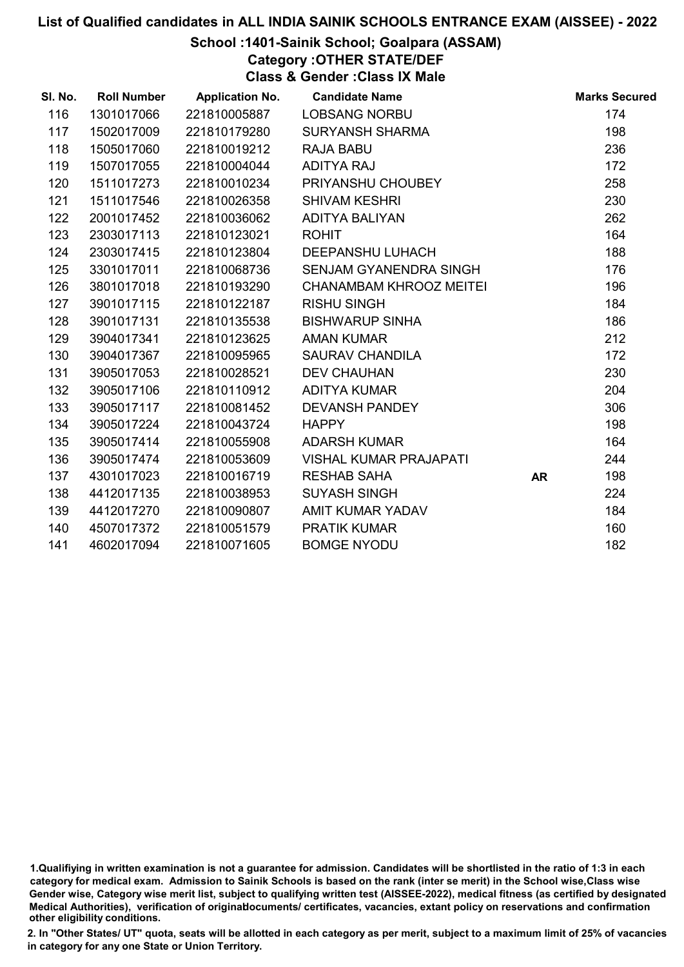# School :1401-Sainik School; Goalpara (ASSAM)

Category :OTHER STATE/DEF

Class & Gender :Class IX Male

| SI. No. | <b>Roll Number</b> | <b>Application No.</b> | <b>Candidate Name</b>          |           | <b>Marks Secured</b> |
|---------|--------------------|------------------------|--------------------------------|-----------|----------------------|
| 116     | 1301017066         | 221810005887           | <b>LOBSANG NORBU</b>           |           | 174                  |
| 117     | 1502017009         | 221810179280           | <b>SURYANSH SHARMA</b>         |           | 198                  |
| 118     | 1505017060         | 221810019212           | <b>RAJA BABU</b>               |           | 236                  |
| 119     | 1507017055         | 221810004044           | <b>ADITYA RAJ</b>              |           | 172                  |
| 120     | 1511017273         | 221810010234           | PRIYANSHU CHOUBEY              |           | 258                  |
| 121     | 1511017546         | 221810026358           | <b>SHIVAM KESHRI</b>           |           | 230                  |
| 122     | 2001017452         | 221810036062           | ADITYA BALIYAN                 |           | 262                  |
| 123     | 2303017113         | 221810123021           | <b>ROHIT</b>                   |           | 164                  |
| 124     | 2303017415         | 221810123804           | <b>DEEPANSHU LUHACH</b>        |           | 188                  |
| 125     | 3301017011         | 221810068736           | SENJAM GYANENDRA SINGH         |           | 176                  |
| 126     | 3801017018         | 221810193290           | <b>CHANAMBAM KHROOZ MEITEI</b> |           | 196                  |
| 127     | 3901017115         | 221810122187           | <b>RISHU SINGH</b>             |           | 184                  |
| 128     | 3901017131         | 221810135538           | <b>BISHWARUP SINHA</b>         |           | 186                  |
| 129     | 3904017341         | 221810123625           | <b>AMAN KUMAR</b>              |           | 212                  |
| 130     | 3904017367         | 221810095965           | <b>SAURAV CHANDILA</b>         |           | 172                  |
| 131     | 3905017053         | 221810028521           | <b>DEV CHAUHAN</b>             |           | 230                  |
| 132     | 3905017106         | 221810110912           | <b>ADITYA KUMAR</b>            |           | 204                  |
| 133     | 3905017117         | 221810081452           | <b>DEVANSH PANDEY</b>          |           | 306                  |
| 134     | 3905017224         | 221810043724           | <b>HAPPY</b>                   |           | 198                  |
| 135     | 3905017414         | 221810055908           | <b>ADARSH KUMAR</b>            |           | 164                  |
| 136     | 3905017474         | 221810053609           | <b>VISHAL KUMAR PRAJAPATI</b>  |           | 244                  |
| 137     | 4301017023         | 221810016719           | <b>RESHAB SAHA</b>             | <b>AR</b> | 198                  |
| 138     | 4412017135         | 221810038953           | <b>SUYASH SINGH</b>            |           | 224                  |
| 139     | 4412017270         | 221810090807           | AMIT KUMAR YADAV               |           | 184                  |
| 140     | 4507017372         | 221810051579           | <b>PRATIK KUMAR</b>            |           | 160                  |
| 141     | 4602017094         | 221810071605           | <b>BOMGE NYODU</b>             |           | 182                  |

<sup>1.</sup>Qualifiying in written examination is not a guarantee for admission. Candidates will be shortlisted in the ratio of 1:3 in each category for medical exam. Admission to Sainik Schools is based on the rank (inter se merit) in the School wise,Class wise Gender wise, Category wise merit list, subject to qualifying written test (AISSEE-2022), medical fitness (as certified by designated Medical Authorities), verification of originablocuments/ certificates, vacancies, extant policy on reservations and confirmation other eligibility conditions.